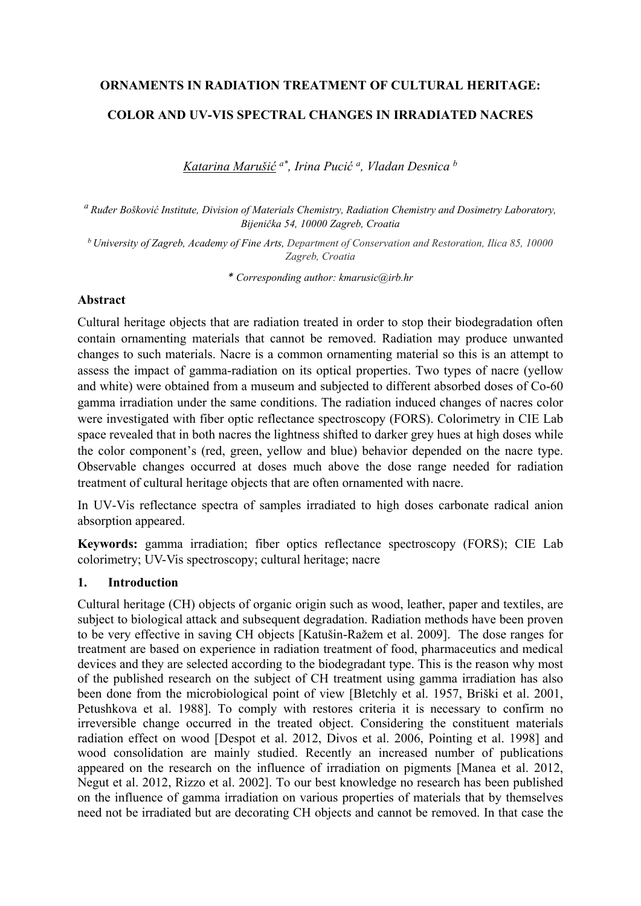# **ORNAMENTS IN RADIATION TREATMENT OF CULTURAL HERITAGE:**

# **COLOR AND UV-VIS SPECTRAL CHANGES IN IRRADIATED NACRES**

*Katarina Marušić a\*, Irina Pucić a, Vladan Desnica b* 

*<sup>a</sup> Ruđer Bošković Institute, Division of Materials Chemistry, Radiation Chemistry and Dosimetry Laboratory, Bijenička 54, 10000 Zagreb, Croatia* 

*b University of Zagreb, Academy of Fine Arts, Department of Conservation and Restoration, Ilica 85, 10000 Zagreb, Croatia*

*\* Corresponding author: kmarusic@irb.hr*

#### **Abstract**

Cultural heritage objects that are radiation treated in order to stop their biodegradation often contain ornamenting materials that cannot be removed. Radiation may produce unwanted changes to such materials. Nacre is a common ornamenting material so this is an attempt to assess the impact of gamma-radiation on its optical properties. Two types of nacre (yellow and white) were obtained from a museum and subjected to different absorbed doses of Co-60 gamma irradiation under the same conditions. The radiation induced changes of nacres color were investigated with fiber optic reflectance spectroscopy (FORS). Colorimetry in CIE Lab space revealed that in both nacres the lightness shifted to darker grey hues at high doses while the color component's (red, green, yellow and blue) behavior depended on the nacre type. Observable changes occurred at doses much above the dose range needed for radiation treatment of cultural heritage objects that are often ornamented with nacre.

In UV-Vis reflectance spectra of samples irradiated to high doses carbonate radical anion absorption appeared.

**Keywords:** gamma irradiation; fiber optics reflectance spectroscopy (FORS); CIE Lab colorimetry; UV-Vis spectroscopy; cultural heritage; nacre

#### **1. Introduction**

Cultural heritage (CH) objects of organic origin such as wood, leather, paper and textiles, are subject to biological attack and subsequent degradation. Radiation methods have been proven to be very effective in saving CH objects [Katušin-Ražem et al. 2009]. The dose ranges for treatment are based on experience in radiation treatment of food, pharmaceutics and medical devices and they are selected according to the biodegradant type. This is the reason why most of the published research on the subject of CH treatment using gamma irradiation has also been done from the microbiological point of view [Bletchly et al. 1957, Briški et al. 2001, Petushkova et al. 1988]. To comply with restores criteria it is necessary to confirm no irreversible change occurred in the treated object. Considering the constituent materials radiation effect on wood [Despot et al. 2012, Divos et al. 2006, Pointing et al. 1998] and wood consolidation are mainly studied. Recently an increased number of publications appeared on the research on the influence of irradiation on pigments [Manea et al. 2012, Negut et al. 2012, Rizzo et al. 2002]. To our best knowledge no research has been published on the influence of gamma irradiation on various properties of materials that by themselves need not be irradiated but are decorating CH objects and cannot be removed. In that case the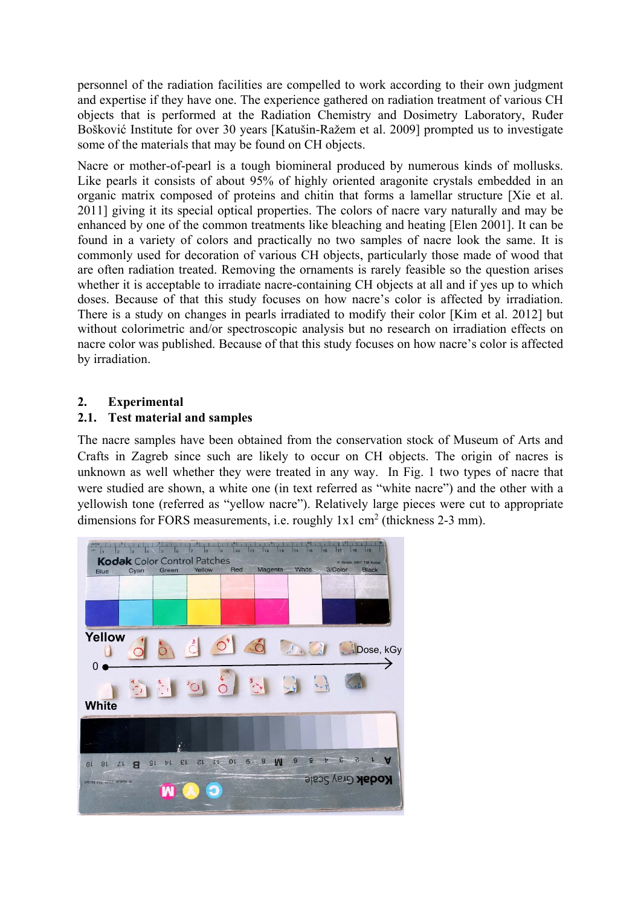personnel of the radiation facilities are compelled to work according to their own judgment and expertise if they have one. The experience gathered on radiation treatment of various CH objects that is performed at the Radiation Chemistry and Dosimetry Laboratory, Ruđer Bošković Institute for over 30 years [Katušin-Ražem et al. 2009] prompted us to investigate some of the materials that may be found on CH objects.

Nacre or mother-of-pearl is a tough biomineral produced by numerous kinds of mollusks. Like pearls it consists of about 95% of highly oriented aragonite crystals embedded in an organic matrix composed of proteins and chitin that forms a lamellar structure [Xie et al. 2011] giving it its special optical properties. The colors of nacre vary naturally and may be enhanced by one of the common treatments like bleaching and heating [Elen 2001]. It can be found in a variety of colors and practically no two samples of nacre look the same. It is commonly used for decoration of various CH objects, particularly those made of wood that are often radiation treated. Removing the ornaments is rarely feasible so the question arises whether it is acceptable to irradiate nacre-containing CH objects at all and if yes up to which doses. Because of that this study focuses on how nacre's color is affected by irradiation. There is a study on changes in pearls irradiated to modify their color [Kim et al. 2012] but without colorimetric and/or spectroscopic analysis but no research on irradiation effects on nacre color was published. Because of that this study focuses on how nacre's color is affected by irradiation.

# **2. Experimental**

### **2.1. Test material and samples**

The nacre samples have been obtained from the conservation stock of Museum of Arts and Crafts in Zagreb since such are likely to occur on CH objects. The origin of nacres is unknown as well whether they were treated in any way. In Fig. 1 two types of nacre that were studied are shown, a white one (in text referred as "white nacre") and the other with a yellowish tone (referred as "yellow nacre"). Relatively large pieces were cut to appropriate dimensions for FORS measurements, i.e. roughly  $1x1 \text{ cm}^2$  (thickness 2-3 mm).

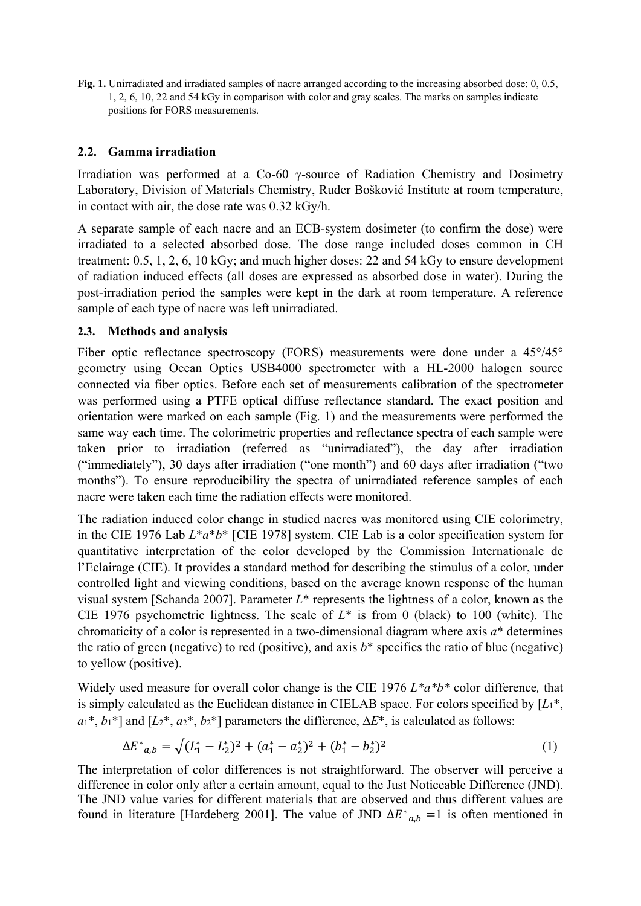**Fig. 1.** Unirradiated and irradiated samples of nacre arranged according to the increasing absorbed dose: 0, 0.5, 1, 2, 6, 10, 22 and 54 kGy in comparison with color and gray scales. The marks on samples indicate positions for FORS measurements.

# **2.2. Gamma irradiation**

Irradiation was performed at a Co-60 γ-source of Radiation Chemistry and Dosimetry Laboratory, Division of Materials Chemistry, Ruđer Bošković Institute at room temperature, in contact with air, the dose rate was 0.32 kGy/h.

A separate sample of each nacre and an ECB-system dosimeter (to confirm the dose) were irradiated to a selected absorbed dose. The dose range included doses common in CH treatment: 0.5, 1, 2, 6, 10 kGy; and much higher doses: 22 and 54 kGy to ensure development of radiation induced effects (all doses are expressed as absorbed dose in water). During the post-irradiation period the samples were kept in the dark at room temperature. A reference sample of each type of nacre was left unirradiated.

### **2.3. Methods and analysis**

Fiber optic reflectance spectroscopy (FORS) measurements were done under a 45°/45° geometry using Ocean Optics USB4000 spectrometer with a HL-2000 halogen source connected via fiber optics. Before each set of measurements calibration of the spectrometer was performed using a PTFE optical diffuse reflectance standard. The exact position and orientation were marked on each sample (Fig. 1) and the measurements were performed the same way each time. The colorimetric properties and reflectance spectra of each sample were taken prior to irradiation (referred as "unirradiated"), the day after irradiation ("immediately"), 30 days after irradiation ("one month") and 60 days after irradiation ("two months"). To ensure reproducibility the spectra of unirradiated reference samples of each nacre were taken each time the radiation effects were monitored.

The radiation induced color change in studied nacres was monitored using CIE colorimetry, in the CIE 1976 Lab *L*\**a*\**b*\* [CIE 1978] system. CIE Lab is a color specification system for quantitative interpretation of the color developed by the Commission Internationale de l'Eclairage (CIE). It provides a standard method for describing the stimulus of a color, under controlled light and viewing conditions, based on the average known response of the human visual system [Schanda 2007]. Parameter *L*\* represents the lightness of a color, known as the CIE 1976 psychometric lightness. The scale of *L*\* is from 0 (black) to 100 (white). The chromaticity of a color is represented in a two-dimensional diagram where axis *a*\* determines the ratio of green (negative) to red (positive), and axis  $b^*$  specifies the ratio of blue (negative) to yellow (positive).

Widely used measure for overall color change is the CIE 1976 *L\*a\*b\** color difference*,* that is simply calculated as the Euclidean distance in CIELAB space. For colors specified by [*L*1\*,  $a_1^*, b_1^*$  and  $[L_2^*, a_2^*, b_2^*]$  parameters the difference,  $\Delta E^*$ , is calculated as follows:

$$
\Delta E^*_{a,b} = \sqrt{(L_1^* - L_2^*)^2 + (a_1^* - a_2^*)^2 + (b_1^* - b_2^*)^2}
$$
 (1)

The interpretation of color differences is not straightforward. The observer will perceive a difference in color only after a certain amount, equal to the Just Noticeable Difference (JND). The JND value varies for different materials that are observed and thus different values are found in literature [Hardeberg 2001]. The value of JND  $\Delta E^*_{a,b} = 1$  is often mentioned in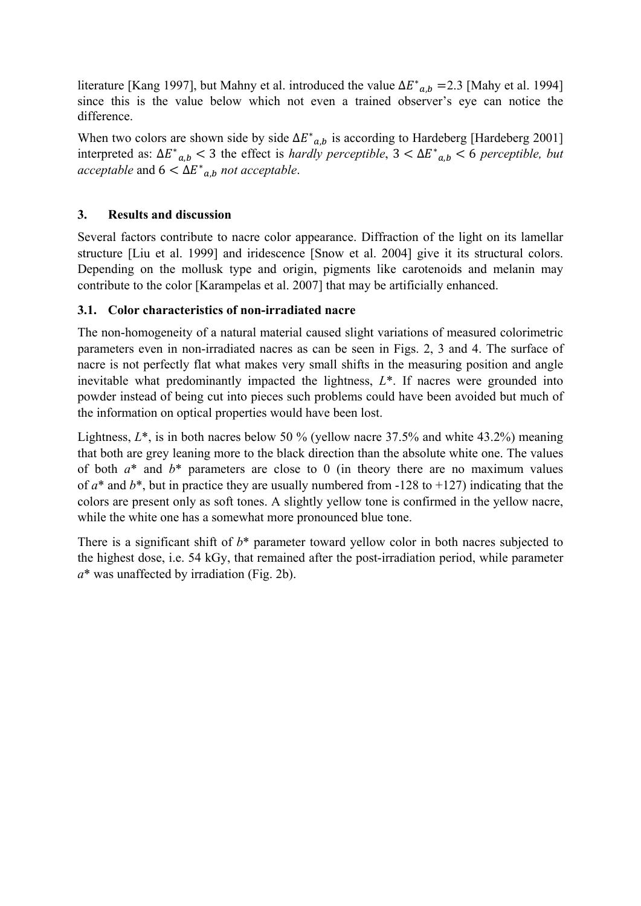literature [Kang 1997], but Mahny et al. introduced the value  $\Delta E^*_{a,b} = 2.3$  [Mahy et al. 1994] since this is the value below which not even a trained observer's eye can notice the difference.

When two colors are shown side by side  $\Delta E^*_{a,b}$  is according to Hardeberg [Hardeberg 2001] interpreted as:  $\Delta E^*_{a,b}$  < 3 the effect is *hardly perceptible*, 3 <  $\Delta E^*_{a,b}$  < 6 *perceptible*, *but*  $\text{acceptable}$  and  $6 < \Delta E^*_{a,b}$  *not acceptable*.

# **3. Results and discussion**

Several factors contribute to nacre color appearance. Diffraction of the light on its lamellar structure [Liu et al. 1999] and iridescence [Snow et al. 2004] give it its structural colors. Depending on the mollusk type and origin, pigments like carotenoids and melanin may contribute to the color [Karampelas et al. 2007] that may be artificially enhanced.

# **3.1. Color characteristics of non-irradiated nacre**

The non-homogeneity of a natural material caused slight variations of measured colorimetric parameters even in non-irradiated nacres as can be seen in Figs. 2, 3 and 4. The surface of nacre is not perfectly flat what makes very small shifts in the measuring position and angle inevitable what predominantly impacted the lightness, *L*\*. If nacres were grounded into powder instead of being cut into pieces such problems could have been avoided but much of the information on optical properties would have been lost.

Lightness, *L*\*, is in both nacres below 50 % (yellow nacre 37.5% and white 43.2%) meaning that both are grey leaning more to the black direction than the absolute white one. The values of both *a*\* and *b*\* parameters are close to 0 (in theory there are no maximum values of  $a^*$  and  $b^*$ , but in practice they are usually numbered from -128 to +127) indicating that the colors are present only as soft tones. A slightly yellow tone is confirmed in the yellow nacre, while the white one has a somewhat more pronounced blue tone.

There is a significant shift of  $b^*$  parameter toward yellow color in both nacres subjected to the highest dose, i.e. 54 kGy, that remained after the post-irradiation period, while parameter *a*\* was unaffected by irradiation (Fig. 2b).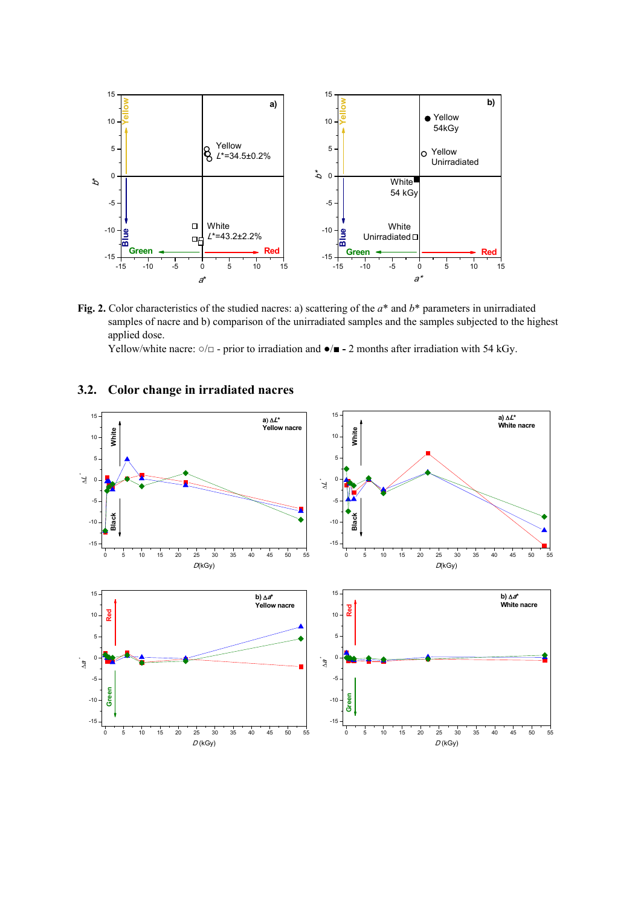

**Fig. 2.** Color characteristics of the studied nacres: a) scattering of the *a*\* and *b*\* parameters in unirradiated samples of nacre and b) comparison of the unirradiated samples and the samples subjected to the highest applied dose.

Yellow/white nacre: ○/□ - prior to irradiation and **●**/**■ -** 2 months after irradiation with 54 kGy.

#### **3.2. Color change in irradiated nacres**

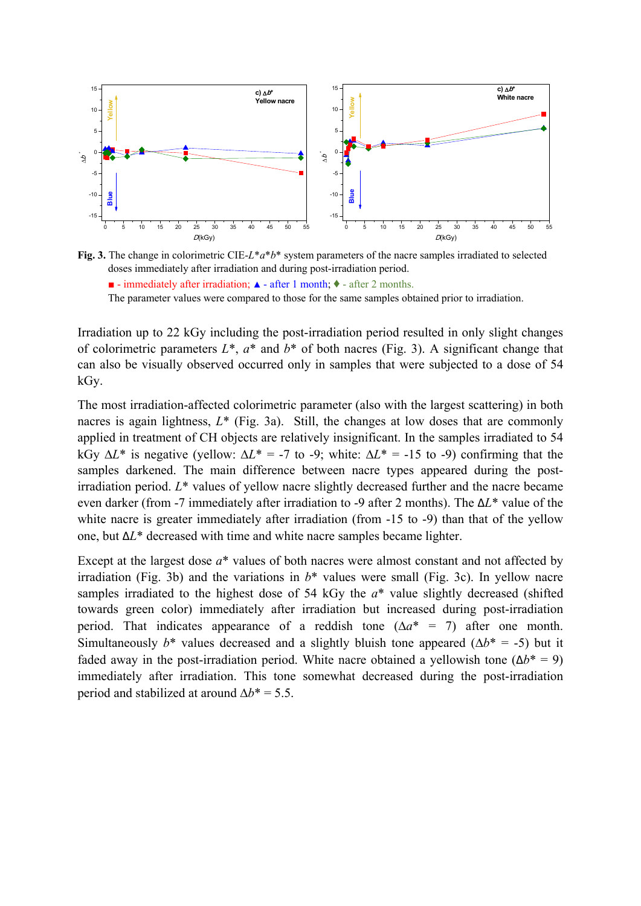

**Fig. 3.** The change in colorimetric CIE-*L*\**a*\**b*\* system parameters of the nacre samples irradiated to selected doses immediately after irradiation and during post-irradiation period.  $\blacksquare$  - immediately after irradiation;  $\blacktriangle$  - after 1 month;  $\blacklozenge$  - after 2 months. The parameter values were compared to those for the same samples obtained prior to irradiation.

Irradiation up to 22 kGy including the post-irradiation period resulted in only slight changes of colorimetric parameters  $L^*$ ,  $a^*$  and  $b^*$  of both nacres (Fig. 3). A significant change that can also be visually observed occurred only in samples that were subjected to a dose of 54 kGy.

The most irradiation-affected colorimetric parameter (also with the largest scattering) in both nacres is again lightness,  $L^*$  (Fig. 3a). Still, the changes at low doses that are commonly applied in treatment of CH objects are relatively insignificant. In the samples irradiated to 54 kGy  $\Delta L^*$  is negative (yellow:  $\Delta L^* = -7$  to -9; white:  $\Delta L^* = -15$  to -9) confirming that the samples darkened. The main difference between nacre types appeared during the postirradiation period. *L*\* values of yellow nacre slightly decreased further and the nacre became even darker (from -7 immediately after irradiation to -9 after 2 months). The Δ*L*\* value of the white nacre is greater immediately after irradiation (from -15 to -9) than that of the yellow one, but Δ*L*\* decreased with time and white nacre samples became lighter.

Except at the largest dose *a*\* values of both nacres were almost constant and not affected by irradiation (Fig. 3b) and the variations in *b*\* values were small (Fig. 3c). In yellow nacre samples irradiated to the highest dose of 54 kGy the *a*\* value slightly decreased (shifted towards green color) immediately after irradiation but increased during post-irradiation period. That indicates appearance of a reddish tone  $(\Delta a^* = 7)$  after one month. Simultaneously  $b^*$  values decreased and a slightly bluish tone appeared  $(\Delta b^* = -5)$  but it faded away in the post-irradiation period. White nacre obtained a yellowish tone  $(\Delta b^* = 9)$ immediately after irradiation. This tone somewhat decreased during the post-irradiation period and stabilized at around  $\Delta b^* = 5.5$ .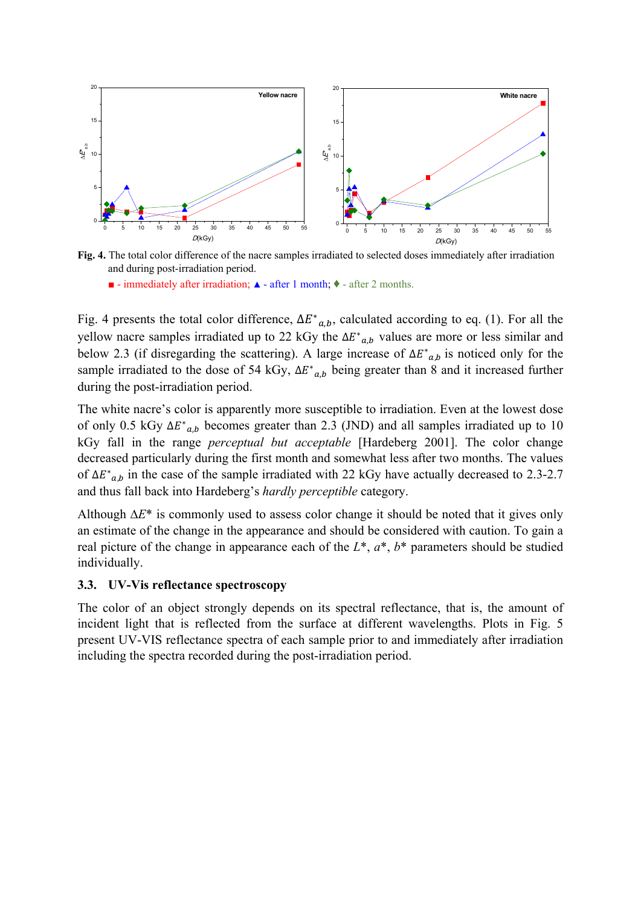

**Fig. 4.** The total color difference of the nacre samples irradiated to selected doses immediately after irradiation and during post-irradiation period.

 $\blacksquare$  - immediately after irradiation;  $\blacktriangle$  - after 1 month;  $\blacklozenge$  - after 2 months.

Fig. 4 presents the total color difference,  $\Delta E^*_{a,b}$ , calculated according to eq. (1). For all the yellow nacre samples irradiated up to 22 kGy the  $\Delta E^*_{a,b}$  values are more or less similar and below 2.3 (if disregarding the scattering). A large increase of  $\Delta E^*_{a,b}$  is noticed only for the sample irradiated to the dose of 54 kGy,  $\Delta E^*_{a,b}$  being greater than 8 and it increased further during the post-irradiation period.

The white nacre's color is apparently more susceptible to irradiation. Even at the lowest dose of only 0.5 kGy  $\Delta E^*_{a,b}$  becomes greater than 2.3 (JND) and all samples irradiated up to 10 kGy fall in the range *perceptual but acceptable* [Hardeberg 2001]. The color change decreased particularly during the first month and somewhat less after two months. The values of  $\Delta E^*_{a,b}$  in the case of the sample irradiated with 22 kGy have actually decreased to 2.3-2.7 and thus fall back into Hardeberg's *hardly perceptible* category.

Although  $\Delta E^*$  is commonly used to assess color change it should be noted that it gives only an estimate of the change in the appearance and should be considered with caution. To gain a real picture of the change in appearance each of the *L*\*, *a*\*, *b*\* parameters should be studied individually.

#### **3.3. UV-Vis reflectance spectroscopy**

The color of an object strongly depends on its spectral reflectance, that is, the amount of incident light that is reflected from the surface at different wavelengths. Plots in Fig. 5 present UV-VIS reflectance spectra of each sample prior to and immediately after irradiation including the spectra recorded during the post-irradiation period.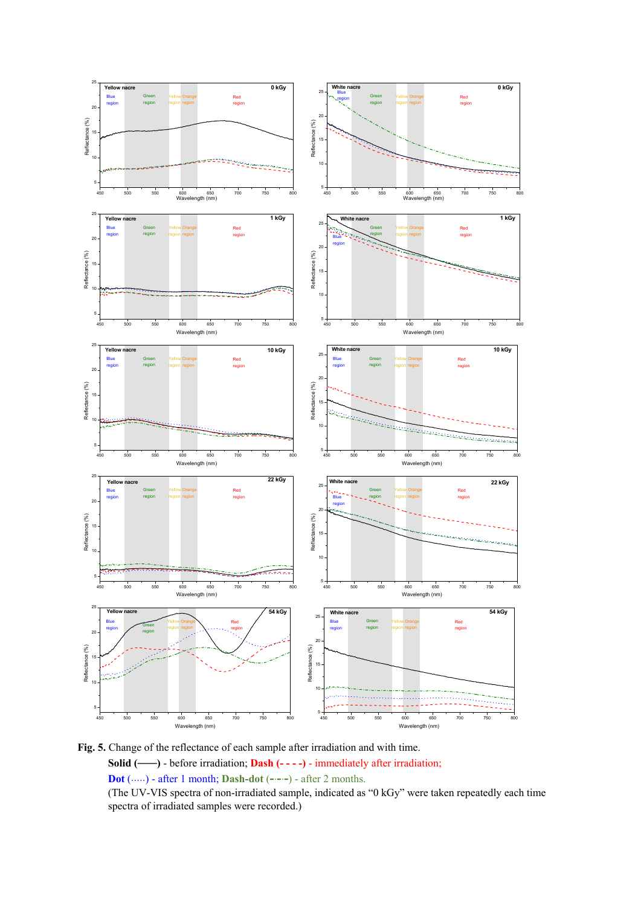

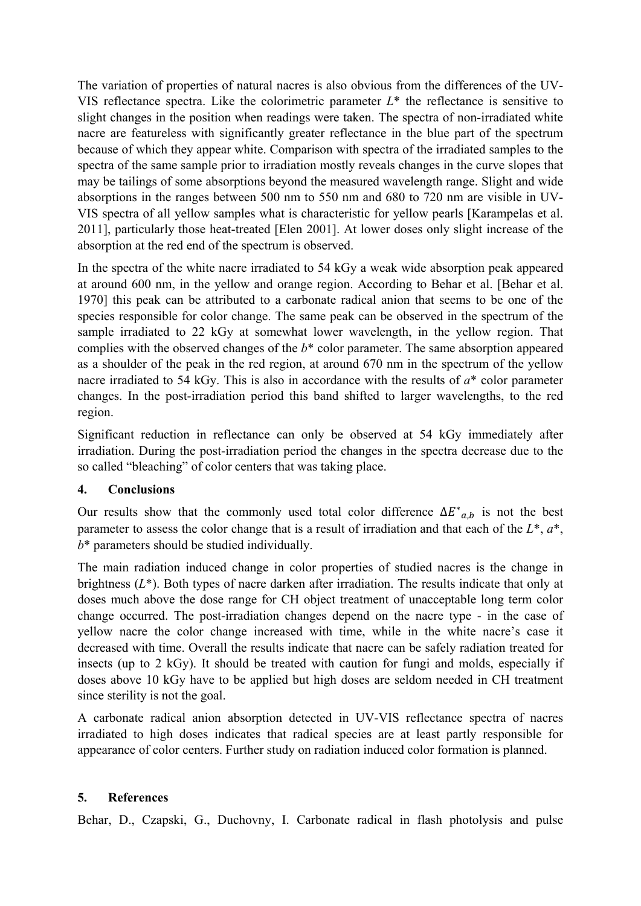The variation of properties of natural nacres is also obvious from the differences of the UV-VIS reflectance spectra. Like the colorimetric parameter *L*\* the reflectance is sensitive to slight changes in the position when readings were taken. The spectra of non-irradiated white nacre are featureless with significantly greater reflectance in the blue part of the spectrum because of which they appear white. Comparison with spectra of the irradiated samples to the spectra of the same sample prior to irradiation mostly reveals changes in the curve slopes that may be tailings of some absorptions beyond the measured wavelength range. Slight and wide absorptions in the ranges between 500 nm to 550 nm and 680 to 720 nm are visible in UV-VIS spectra of all yellow samples what is characteristic for yellow pearls [Karampelas et al. 2011], particularly those heat-treated [Elen 2001]. At lower doses only slight increase of the absorption at the red end of the spectrum is observed.

In the spectra of the white nacre irradiated to 54 kGy a weak wide absorption peak appeared at around 600 nm, in the yellow and orange region. According to Behar et al. [Behar et al. 1970] this peak can be attributed to a carbonate radical anion that seems to be one of the species responsible for color change. The same peak can be observed in the spectrum of the sample irradiated to 22 kGy at somewhat lower wavelength, in the yellow region. That complies with the observed changes of the *b*\* color parameter. The same absorption appeared as a shoulder of the peak in the red region, at around 670 nm in the spectrum of the yellow nacre irradiated to 54 kGy. This is also in accordance with the results of *a*\* color parameter changes. In the post-irradiation period this band shifted to larger wavelengths, to the red region.

Significant reduction in reflectance can only be observed at 54 kGy immediately after irradiation. During the post-irradiation period the changes in the spectra decrease due to the so called "bleaching" of color centers that was taking place.

# **4. Conclusions**

Our results show that the commonly used total color difference  $\Delta E^*_{a,b}$  is not the best parameter to assess the color change that is a result of irradiation and that each of the *L*\*, *a*\*, *b*\* parameters should be studied individually.

The main radiation induced change in color properties of studied nacres is the change in brightness ( $L^*$ ). Both types of nacre darken after irradiation. The results indicate that only at doses much above the dose range for CH object treatment of unacceptable long term color change occurred. The post-irradiation changes depend on the nacre type - in the case of yellow nacre the color change increased with time, while in the white nacre's case it decreased with time. Overall the results indicate that nacre can be safely radiation treated for insects (up to 2 kGy). It should be treated with caution for fungi and molds, especially if doses above 10 kGy have to be applied but high doses are seldom needed in CH treatment since sterility is not the goal.

A carbonate radical anion absorption detected in UV-VIS reflectance spectra of nacres irradiated to high doses indicates that radical species are at least partly responsible for appearance of color centers. Further study on radiation induced color formation is planned.

# **5. References**

Behar, D., Czapski, G., Duchovny, I. Carbonate radical in flash photolysis and pulse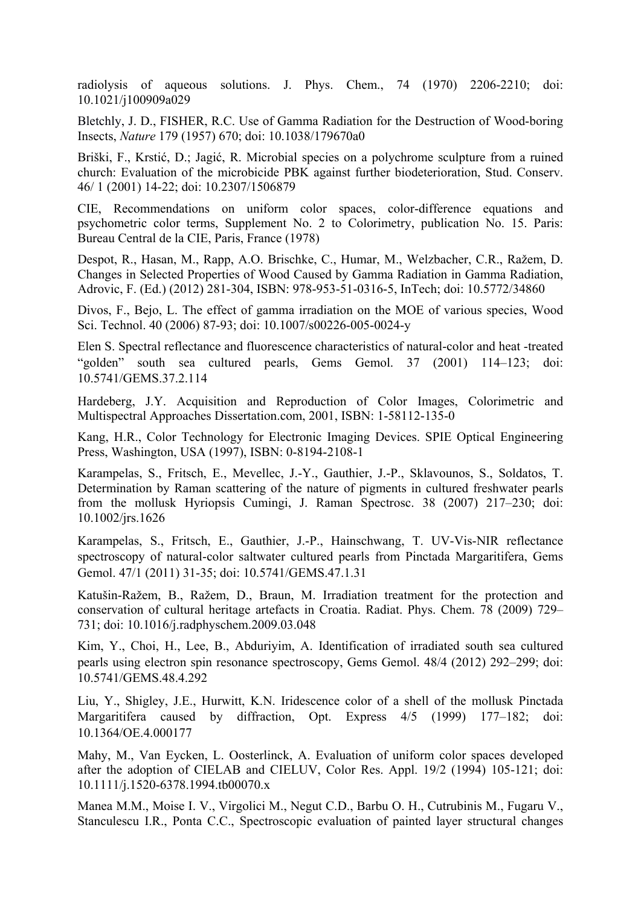radiolysis of aqueous solutions. J. Phys. Chem., 74 (1970) 2206-2210; doi: 10.1021/j100909a029

Bletchly, J. D., FISHER, R.C. Use of Gamma Radiation for the Destruction of Wood-boring Insects, *Nature* 179 (1957) 670; doi: 10.1038/179670a0

Briški, F., Krstić, D.; Jagić, R. Microbial species on a polychrome sculpture from a ruined church: Evaluation of the microbicide PBK against further biodeterioration, Stud. Conserv. 46/ 1 (2001) 14-22; doi: 10.2307/1506879

CIE, Recommendations on uniform color spaces, color-difference equations and psychometric color terms, Supplement No. 2 to Colorimetry, publication No. 15. Paris: Bureau Central de la CIE, Paris, France (1978)

Despot, R., Hasan, M., Rapp, A.O. Brischke, C., Humar, M., Welzbacher, C.R., Ražem, D. Changes in Selected Properties of Wood Caused by Gamma Radiation in Gamma Radiation, Adrovic, F. (Ed.) (2012) 281-304, ISBN: 978-953-51-0316-5, InTech; doi: 10.5772/34860

Divos, F., Bejo, L. The effect of gamma irradiation on the MOE of various species, Wood Sci. Technol. 40 (2006) 87-93; doi: 10.1007/s00226-005-0024-y

Elen S. Spectral reflectance and fluorescence characteristics of natural-color and heat -treated "golden" south sea cultured pearls, Gems Gemol. 37 (2001) 114–123; doi: 10.5741/GEMS.37.2.114

Hardeberg, J.Y. Acquisition and Reproduction of Color Images, Colorimetric and Multispectral Approaches Dissertation.com, 2001, ISBN: 1-58112-135-0

Kang, H.R., Color Technology for Electronic Imaging Devices. SPIE Optical Engineering Press, Washington, USA (1997), ISBN: 0-8194-2108-1

Karampelas, S., Fritsch, E., Mevellec, J.-Y., Gauthier, J.-P., Sklavounos, S., Soldatos, T. Determination by Raman scattering of the nature of pigments in cultured freshwater pearls from the mollusk Hyriopsis Cumingi, J. Raman Spectrosc. 38 (2007) 217–230; doi: 10.1002/jrs.1626

Karampelas, S., Fritsch, E., Gauthier, J.-P., Hainschwang, T. UV-Vis-NIR reflectance spectroscopy of natural-color saltwater cultured pearls from Pinctada Margaritifera, Gems Gemol. 47/1 (2011) 31-35; doi: 10.5741/GEMS.47.1.31

Katušin-Ražem, B., Ražem, D., Braun, M. Irradiation treatment for the protection and conservation of cultural heritage artefacts in Croatia. Radiat. Phys. Chem. 78 (2009) 729– 731; doi: 10.1016/j.radphyschem.2009.03.048

Kim, Y., Choi, H., Lee, B., Abduriyim, A. Identification of irradiated south sea cultured pearls using electron spin resonance spectroscopy, Gems Gemol. 48/4 (2012) 292–299; doi: 10.5741/GEMS.48.4.292

Liu, Y., Shigley, J.E., Hurwitt, K.N. Iridescence color of a shell of the mollusk Pinctada Margaritifera caused by diffraction, Opt. Express 4/5 (1999) 177–182; doi: 10.1364/OE.4.000177

Mahy, M., Van Eycken, L. Oosterlinck, A. Evaluation of uniform color spaces developed after the adoption of CIELAB and CIELUV, Color Res. Appl. 19/2 (1994) 105-121; doi: 10.1111/j.1520-6378.1994.tb00070.x

Manea M.M., Moise I. V., Virgolici M., Negut C.D., Barbu O. H., Cutrubinis M., Fugaru V., Stanculescu I.R., Ponta C.C., Spectroscopic evaluation of painted layer structural changes